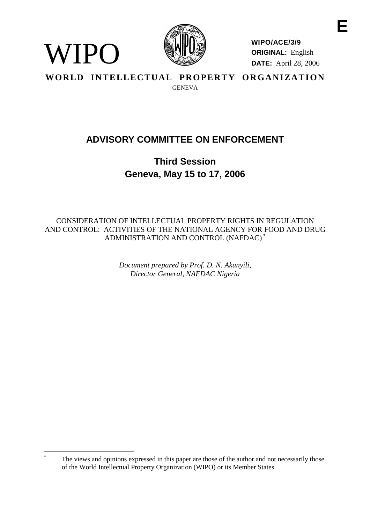

WIPO

**WIPO/ACE/3/9 ORIGINAL:** English **DATE:** April 28, 2006

WORLD INTELLECTUAL PROPERTY ORGANIZATION **GENEVA** 

# **ADVISORY COMMITTEE ON ENFORCEMENT**

**Third Session Geneva, May 15 to 17, 2006**

CONSIDERATION OF INTELLECTUAL PROPERTY RIGHTS IN REGULATION AND CONTROL: ACTIVITIES OF THE NATIONAL AGENCY FOR FOOD AND DRUG ADMINISTRATION AND CONTROL (NAFDAC) \*

> *Document prepared by Prof. D. N. Akunyili, Director General, NAFDAC Nigeria*

The views and opinions expressed in this paper are those of the author and not necessarily those of the World Intellectual Property Organization (WIPO) or its Member States.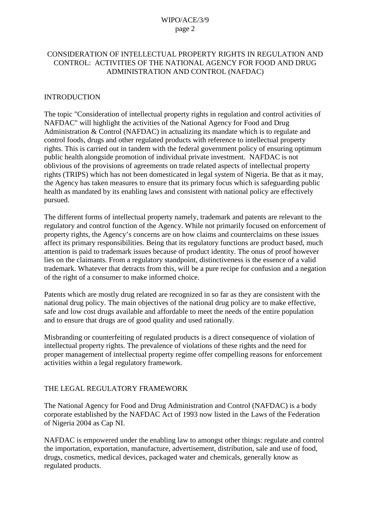## CONSIDERATION OF INTELLECTUAL PROPERTY RIGHTS IN REGULATION AND CONTROL: ACTIVITIES OF THE NATIONAL AGENCY FOR FOOD AND DRUG ADMINISTRATION AND CONTROL (NAFDAC)

#### INTRODUCTION

The topic "Consideration of intellectual property rights in regulation and control activities of NAFDAC" will highlight the activities of the National Agency for Food and Drug Administration & Control (NAFDAC) in actualizing its mandate which is to regulate and control foods, drugs and other regulated products with reference to intellectual property rights. This is carried out in tandem with the federal government policy of ensuring optimum public health alongside promotion of individual private investment. NAFDAC is not oblivious of the provisions of agreements on trade related aspects of intellectual property rights (TRIPS) which has not been domesticated in legal system of Nigeria. Be that as it may, the Agency has taken measures to ensure that its primary focus which is safeguarding public health as mandated by its enabling laws and consistent with national policy are effectively pursued.

The different forms of intellectual property namely, trademark and patents are relevant to the regulatory and control function of the Agency. While not primarily focused on enforcement of property rights, the Agency's concerns are on how claims and counterclaims on these issues affect its primary responsibilities. Being that its regulatory functions are product based, much attention is paid to trademark issues because of product identity. The onus of proof however lies on the claimants. From a regulatory standpoint, distinctiveness is the essence of a valid trademark. Whatever that detracts from this, will be a pure recipe for confusion and a negation of the right of a consumer to make informed choice.

Patents which are mostly drug related are recognized in so far as they are consistent with the national drug policy. The main objectives of the national drug policy are to make effective, safe and low cost drugs available and affordable to meet the needs of the entire population and to ensure that drugs are of good quality and used rationally.

Misbranding or counterfeiting of regulated products is a direct consequence of violation of intellectual property rights. The prevalence of violations of these rights and the need for proper management of intellectual property regime offer compelling reasons for enforcement activities within a legal regulatory framework.

## THE LEGAL REGULATORY FRAMEWORK

The National Agency for Food and Drug Administration and Control (NAFDAC) is a body corporate established by the NAFDAC Act of 1993 now listed in the Laws of the Federation of Nigeria 2004 as Cap NI.

NAFDAC is empowered under the enabling law to amongst other things: regulate and control the importation, exportation, manufacture, advertisement, distribution, sale and use of food, drugs, cosmetics, medical devices, packaged water and chemicals, generally know as regulated products.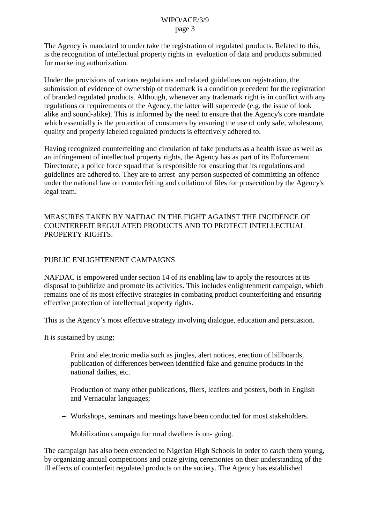The Agency is mandated to under take the registration of regulated products. Related to this, is the recognition of intellectual property rights in evaluation of data and products submitted for marketing authorization.

Under the provisions of various regulations and related guidelines on registration, the submission of evidence of ownership of trademark is a condition precedent for the registration of branded regulated products. Although, whenever any trademark right is in conflict with any regulations or requirements of the Agency, the latter will supercede (e.g. the issue of look alike and sound-alike). This is informed by the need to ensure that the Agency's core mandate which essentially is the protection of consumers by ensuring the use of only safe, wholesome, quality and properly labeled regulated products is effectively adhered to.

Having recognized counterfeiting and circulation of fake products as a health issue as well as an infringement of intellectual property rights, the Agency has as part of its Enforcement Directorate, a police force squad that is responsible for ensuring that its regulations and guidelines are adhered to. They are to arrest any person suspected of committing an offence under the national law on counterfeiting and collation of files for prosecution by the Agency's legal team.

MEASURES TAKEN BY NAFDAC IN THE FIGHT AGAINST THE INCIDENCE OF COUNTERFEIT REGULATED PRODUCTS AND TO PROTECT INTELLECTUAL PROPERTY RIGHTS.

#### PUBLIC ENLIGHTENENT CAMPAIGNS

NAFDAC is empowered under section 14 of its enabling law to apply the resources at its disposal to publicize and promote its activities. This includes enlightenment campaign, which remains one of its most effective strategies in combating product counterfeiting and ensuring effective protection of intellectual property rights.

This is the Agency's most effective strategy involving dialogue, education and persuasion.

It is sustained by using:

- Print and electronic media such as jingles, alert notices, erection of billboards, publication of differences between identified fake and genuine products in the national dailies, etc.
- Production of many other publications, fliers, leaflets and posters, both in English and Vernacular languages;
- Workshops, seminars and meetings have been conducted for most stakeholders.
- Mobilization campaign for rural dwellers is on-going.

The campaign has also been extended to Nigerian High Schools in order to catch them young, by organizing annual competitions and prize giving ceremonies on their understanding of the ill effects of counterfeit regulated products on the society. The Agency has established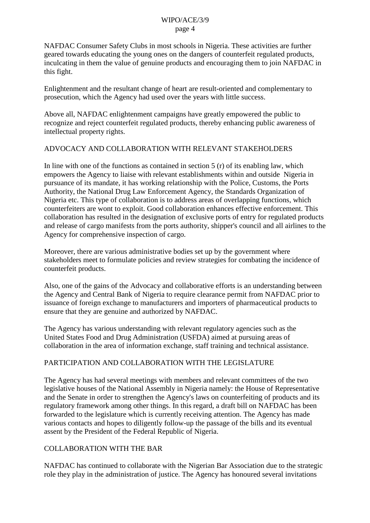NAFDAC Consumer Safety Clubs in most schools in Nigeria. These activities are further geared towards educating the young ones on the dangers of counterfeit regulated products, inculcating in them the value of genuine products and encouraging them to join NAFDAC in this fight.

Enlightenment and the resultant change of heart are result-oriented and complementary to prosecution, which the Agency had used over the years with little success.

Above all, NAFDAC enlightenment campaigns have greatly empowered the public to recognize and reject counterfeit regulated products, thereby enhancing public awareness of intellectual property rights.

## ADVOCACY AND COLLABORATION WITH RELEVANT STAKEHOLDERS

In line with one of the functions as contained in section  $5(r)$  of its enabling law, which empowers the Agency to liaise with relevant establishments within and outside Nigeria in pursuance of its mandate, it has working relationship with the Police, Customs, the Ports Authority, the National Drug Law Enforcement Agency, the Standards Organization of Nigeria etc. This type of collaboration is to address areas of overlapping functions, which counterfeiters are wont to exploit. Good collaboration enhances effective enforcement. This collaboration has resulted in the designation of exclusive ports of entry for regulated products and release of cargo manifests from the ports authority, shipper's council and all airlines to the Agency for comprehensive inspection of cargo.

Moreover, there are various administrative bodies set up by the government where stakeholders meet to formulate policies and review strategies for combating the incidence of counterfeit products.

Also, one of the gains of the Advocacy and collaborative efforts is an understanding between the Agency and Central Bank of Nigeria to require clearance permit from NAFDAC prior to issuance of foreign exchange to manufacturers and importers of pharmaceutical products to ensure that they are genuine and authorized by NAFDAC.

The Agency has various understanding with relevant regulatory agencies such as the United States Food and Drug Administration (USFDA) aimed at pursuing areas of collaboration in the area of information exchange, staff training and technical assistance.

# PARTICIPATION AND COLLABORATION WITH THE LEGISLATURE

The Agency has had several meetings with members and relevant committees of the two legislative houses of the National Assembly in Nigeria namely: the House of Representative and the Senate in order to strengthen the Agency's laws on counterfeiting of products and its regulatory framework among other things. In this regard, a draft bill on NAFDAC has been forwarded to the legislature which is currently receiving attention. The Agency has made various contacts and hopes to diligently follow-up the passage of the bills and its eventual assent by the President of the Federal Republic of Nigeria.

## COLLABORATION WITH THE BAR

NAFDAC has continued to collaborate with the Nigerian Bar Association due to the strategic role they play in the administration of justice. The Agency has honoured several invitations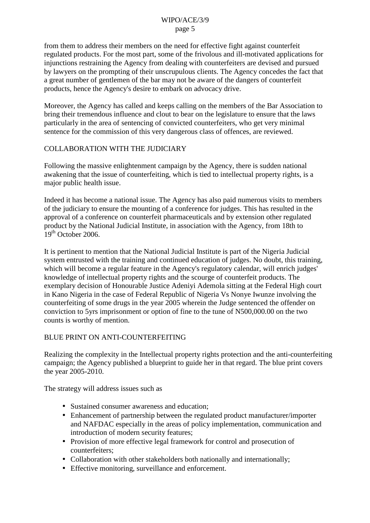from them to address their members on the need for effective fight against counterfeit regulated products. For the most part, some of the frivolous and ill-motivated applications for injunctions restraining the Agency from dealing with counterfeiters are devised and pursued by lawyers on the prompting of their unscrupulous clients. The Agency concedes the fact that a great number of gentlemen of the bar may not be aware of the dangers of counterfeit products, hence the Agency's desire to embark on advocacy drive.

Moreover, the Agency has called and keeps calling on the members of the Bar Association to bring their tremendous influence and clout to bear on the legislature to ensure that the laws particularly in the area of sentencing of convicted counterfeiters, who get very minimal sentence for the commission of this very dangerous class of offences, are reviewed.

# COLLABORATION WITH THE JUDICIARY

Following the massive enlightenment campaign by the Agency, there is sudden national awakening that the issue of counterfeiting, which is tied to intellectual property rights, is a major public health issue.

Indeed it has become a national issue. The Agency has also paid numerous visits to members of the judiciary to ensure the mounting of a conference for judges. This has resulted in the approval of a conference on counterfeit pharmaceuticals and by extension other regulated product by the National Judicial Institute, in association with the Agency, from 18th to  $19<sup>th</sup>$  October 2006.

It is pertinent to mention that the National Judicial Institute is part of the Nigeria Judicial system entrusted with the training and continued education of judges. No doubt, this training, which will become a regular feature in the Agency's regulatory calendar, will enrich judges' knowledge of intellectual property rights and the scourge of counterfeit products. The exemplary decision of Honourable Justice Adeniyi Ademola sitting at the Federal High court in Kano Nigeria in the case of Federal Republic of Nigeria Vs Nonye Iwunze involving the counterfeiting of some drugs in the year 2005 wherein the Judge sentenced the offender on conviction to 5yrs imprisonment or option of fine to the tune of N500,000.00 on the two counts is worthy of mention.

## BLUE PRINT ON ANTI-COUNTERFEITING

Realizing the complexity in the Intellectual property rights protection and the anti-counterfeiting campaign; the Agency published a blueprint to guide her in that regard. The blue print covers the year 2005-2010.

The strategy will address issues such as

- Sustained consumer awareness and education;
- Enhancement of partnership between the regulated product manufacturer/importer and NAFDAC especially in the areas of policy implementation, communication and introduction of modern security features;
- Provision of more effective legal framework for control and prosecution of counterfeiters;
- Collaboration with other stakeholders both nationally and internationally;
- Effective monitoring, surveillance and enforcement.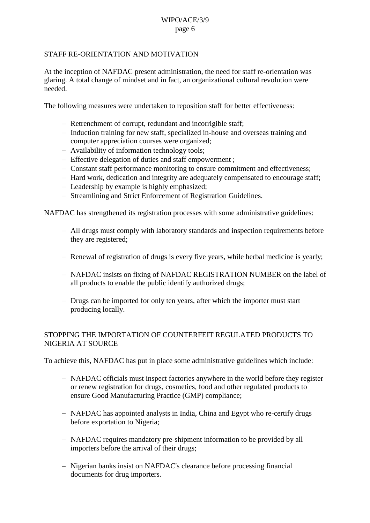#### STAFF RE-ORIENTATION AND MOTIVATION

At the inception of NAFDAC present administration, the need for staff re-orientation was glaring. A total change of mindset and in fact, an organizational cultural revolution were needed.

The following measures were undertaken to reposition staff for better effectiveness:

- Retrenchment of corrupt, redundant and incorrigible staff;
- Induction training for new staff, specialized in-house and overseas training and computer appreciation courses were organized;
- Availability of information technology tools;
- Effective delegation of duties and staff empowerment;
- Constant staff performance monitoring to ensure commitment and effectiveness;
- Hard work, dedication and integrity are adequately compensated to encourage staff;
- Leadership by example is highly emphasized;
- Streamlining and Strict Enforcement of Registration Guidelines.

NAFDAC has strengthened its registration processes with some administrative guidelines:

- All drugs must comply with laboratory standards and inspection requirements before they are registered;
- Renewal of registration of drugs is every five years, while herbal medicine is yearly;
- NAFDAC insists on fixing of NAFDAC REGISTRATION NUMBER on the label of all products to enable the public identify authorized drugs;
- Drugs can be imported for only ten years, after which the importer must start producing locally.

#### STOPPING THE IMPORTATION OF COUNTERFEIT REGULATED PRODUCTS TO NIGERIA AT SOURCE

To achieve this, NAFDAC has put in place some administrative guidelines which include:

- NAFDAC officials must inspect factories anywhere in the world before they register or renew registration for drugs, cosmetics, food and other regulated products to ensure Good Manufacturing Practice (GMP) compliance;
- NAFDAC has appointed analysts in India, China and Egypt who re-certify drugs before exportation to Nigeria;
- NAFDAC requires mandatory pre-shipment information to be provided by all importers before the arrival of their drugs;
- Nigerian banks insist on NAFDAC's clearance before processing financial documents for drug importers.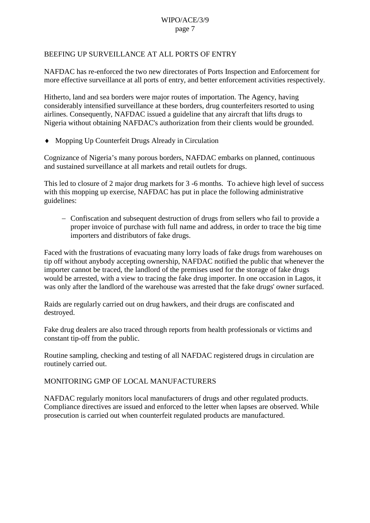## BEEFING UP SURVEILLANCE AT ALL PORTS OF ENTRY

NAFDAC has re-enforced the two new directorates of Ports Inspection and Enforcement for more effective surveillance at all ports of entry, and better enforcement activities respectively.

Hitherto, land and sea borders were major routes of importation. The Agency, having considerably intensified surveillance at these borders, drug counterfeiters resorted to using airlines. Consequently, NAFDAC issued a guideline that any aircraft that lifts drugs to Nigeria without obtaining NAFDAC's authorization from their clients would be grounded.

Mopping Up Counterfeit Drugs Already in Circulation

Cognizance of Nigeria's many porous borders, NAFDAC embarks on planned, continuous and sustained surveillance at all markets and retail outlets for drugs.

This led to closure of 2 major drug markets for 3 -6 months. To achieve high level of success with this mopping up exercise, NAFDAC has put in place the following administrative guidelines:

 Confiscation and subsequent destruction of drugs from sellers who fail to provide a proper invoice of purchase with full name and address, in order to trace the big time importers and distributors of fake drugs.

Faced with the frustrations of evacuating many lorry loads of fake drugs from warehouses on tip off without anybody accepting ownership, NAFDAC notified the public that whenever the importer cannot be traced, the landlord of the premises used for the storage of fake drugs would be arrested, with a view to tracing the fake drug importer. In one occasion in Lagos, it was only after the landlord of the warehouse was arrested that the fake drugs' owner surfaced.

Raids are regularly carried out on drug hawkers, and their drugs are confiscated and destroyed.

Fake drug dealers are also traced through reports from health professionals or victims and constant tip-off from the public.

Routine sampling, checking and testing of all NAFDAC registered drugs in circulation are routinely carried out.

MONITORING GMP OF LOCAL MANUFACTURERS

NAFDAC regularly monitors local manufacturers of drugs and other regulated products. Compliance directives are issued and enforced to the letter when lapses are observed. While prosecution is carried out when counterfeit regulated products are manufactured.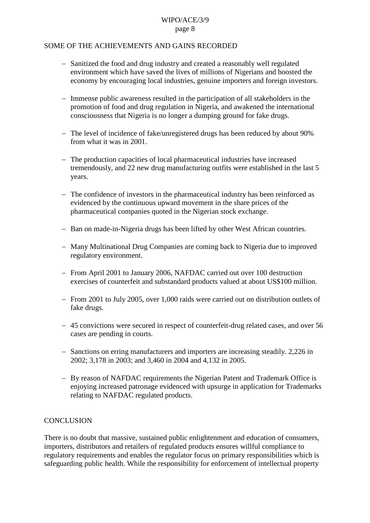#### SOME OF THE ACHIEVEMENTS AND GAINS RECORDED

- Sanitized the food and drug industry and created a reasonably well regulated environment which have saved the lives of millions of Nigerians and boosted the economy by encouraging local industries, genuine importers and foreign investors.
- Immense public awareness resulted in the participation of all stakeholders in the promotion of food and drug regulation in Nigeria, and awakened the international consciousness that Nigeria is no longer a dumping ground for fake drugs.
- The level of incidence of fake/unregistered drugs has been reduced by about 90% from what it was in 2001.
- The production capacities of local pharmaceutical industries have increased tremendously, and 22 new drug manufacturing outfits were established in the last 5 years.
- The confidence of investors in the pharmaceutical industry has been reinforced as evidenced by the continuous upward movement in the share prices of the pharmaceutical companies quoted in the Nigerian stock exchange.
- Ban on made-in-Nigeria drugs has been lifted by other West African countries.
- Many Multinational Drug Companies are coming back to Nigeria due to improved regulatory environment.
- From April 2001 to January 2006, NAFDAC carried out over 100 destruction exercises of counterfeit and substandard products valued at about US\$100 million.
- From 2001 to July 2005, over 1,000 raids were carried out on distribution outlets of fake drugs.
- 45 convictions were secured in respect of counterfeit-drug related cases, and over 56 cases are pending in courts.
- Sanctions on erring manufacturers and importers are increasing steadily. 2,226 in 2002; 3,178 in 2003; and 3,460 in 2004 and 4,132 in 2005.
- By reason of NAFDAC requirements the Nigerian Patent and Trademark Office is enjoying increased patronage evidenced with upsurge in application for Trademarks relating to NAFDAC regulated products.

## **CONCLUSION**

There is no doubt that massive, sustained public enlightenment and education of consumers, importers, distributors and retailers of regulated products ensures willful compliance to regulatory requirements and enables the regulator focus on primary responsibilities which is safeguarding public health. While the responsibility for enforcement of intellectual property